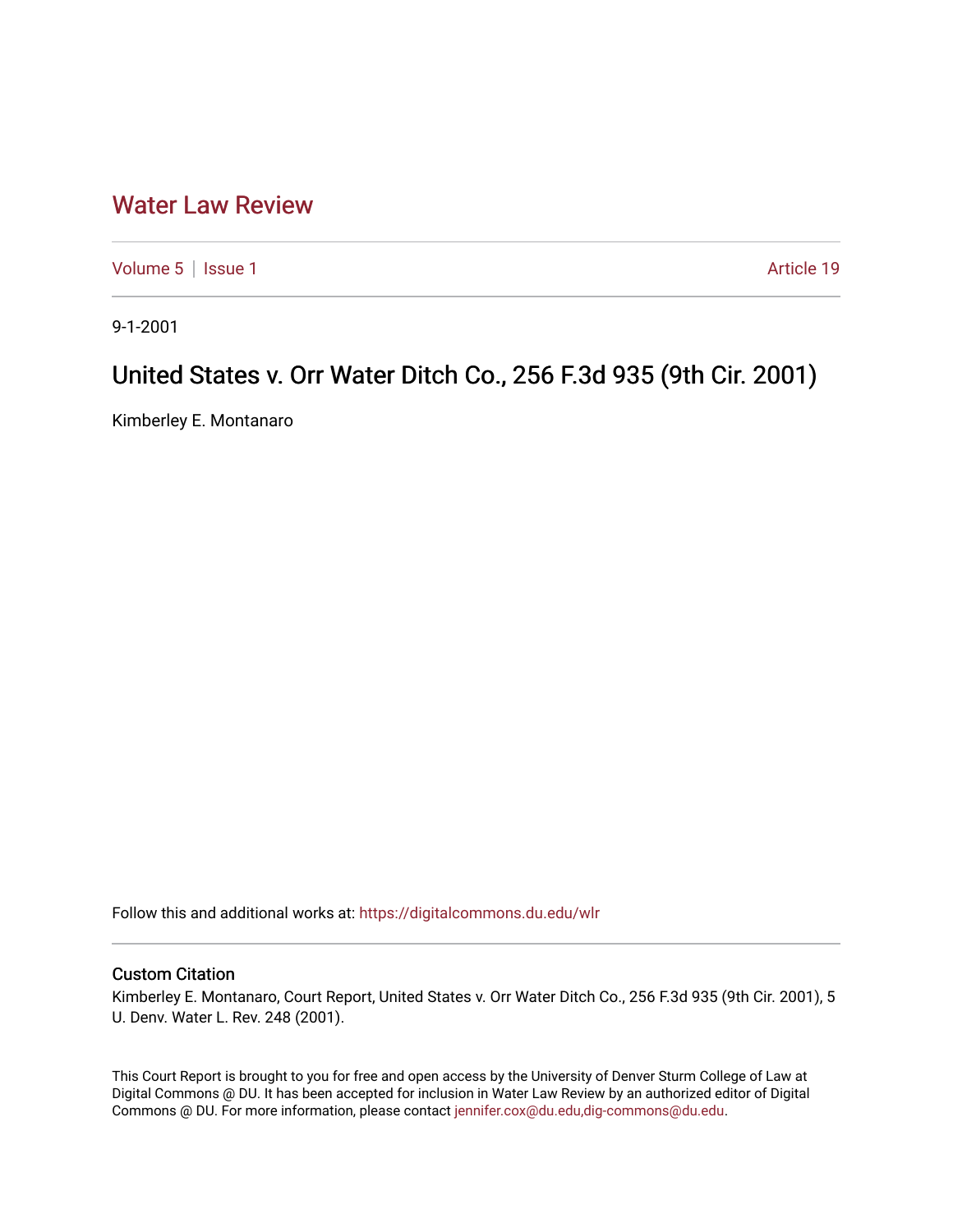## [Water Law Review](https://digitalcommons.du.edu/wlr)

[Volume 5](https://digitalcommons.du.edu/wlr/vol5) | [Issue 1](https://digitalcommons.du.edu/wlr/vol5/iss1) Article 19

9-1-2001

## United States v. Orr Water Ditch Co., 256 F.3d 935 (9th Cir. 2001)

Kimberley E. Montanaro

Follow this and additional works at: [https://digitalcommons.du.edu/wlr](https://digitalcommons.du.edu/wlr?utm_source=digitalcommons.du.edu%2Fwlr%2Fvol5%2Fiss1%2F19&utm_medium=PDF&utm_campaign=PDFCoverPages) 

## Custom Citation

Kimberley E. Montanaro, Court Report, United States v. Orr Water Ditch Co., 256 F.3d 935 (9th Cir. 2001), 5 U. Denv. Water L. Rev. 248 (2001).

This Court Report is brought to you for free and open access by the University of Denver Sturm College of Law at Digital Commons @ DU. It has been accepted for inclusion in Water Law Review by an authorized editor of Digital Commons @ DU. For more information, please contact [jennifer.cox@du.edu,dig-commons@du.edu.](mailto:jennifer.cox@du.edu,dig-commons@du.edu)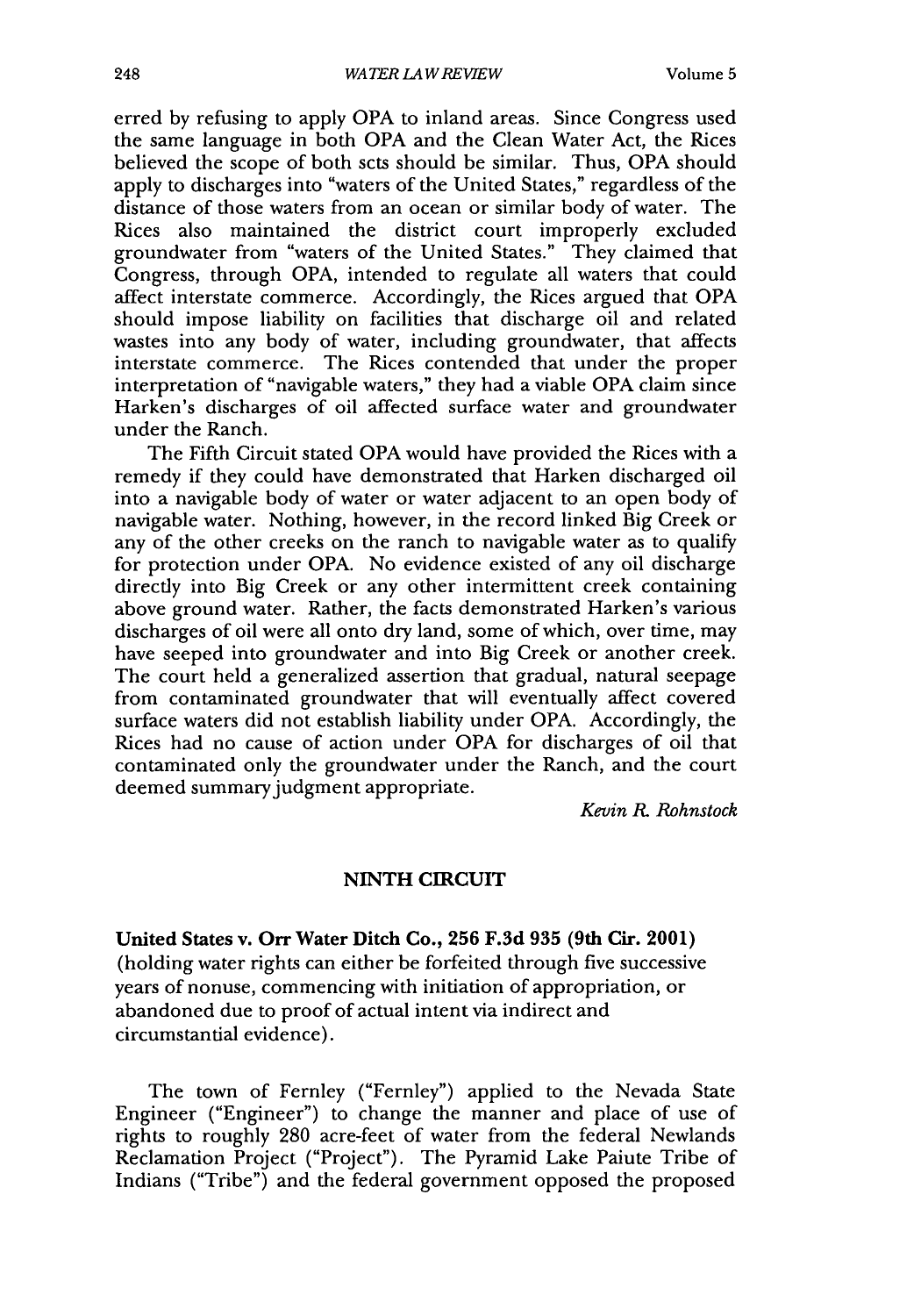erred by refusing to apply OPA to inland areas. Since Congress used the same language in both OPA and the Clean Water Act, the Rices believed the scope of both scts should be similar. Thus, OPA should apply to discharges into "waters of the United States," regardless of the distance of those waters from an ocean or similar body of water. The Rices also maintained the district court improperly excluded groundwater from "waters of the United States." They claimed that Congress, through OPA, intended to regulate all waters that could affect interstate commerce. Accordingly, the Rices argued that OPA should impose liability on facilities that discharge oil and related wastes into any body of water, including groundwater, that affects interstate commerce. The Rices contended that under the proper interpretation of "navigable waters," they had a viable OPA claim since Harken's discharges of oil affected surface water and groundwater under the Ranch.

The Fifth Circuit stated OPA would have provided the Rices with a remedy if they could have demonstrated that Harken discharged oil into a navigable body of water or water adjacent to an open body of navigable water. Nothing, however, in the record linked Big Creek or any of the other creeks on the ranch to navigable water as to qualify for protection under OPA. No evidence existed of any oil discharge directly into Big Creek or any other intermittent creek containing above ground water. Rather, the facts demonstrated Harken's various discharges of oil were all onto dry land, some of which, over time, may have seeped into groundwater and into Big Creek or another creek. The court held a generalized assertion that gradual, natural seepage from contaminated groundwater that will eventually affect covered surface waters did not establish liability under OPA. Accordingly, the Rices had no cause of action under OPA for discharges of oil that contaminated only the groundwater under the Ranch, and the court deemed summary judgment appropriate.

*Kevin R. Rohnstock*

## NINTH **CIRCUIT**

United States v. **Orr Water Ditch Co., 256 F.3d 935 (9th Cir. 2001)** (holding water rights can either be forfeited through five successive years of nonuse, commencing with initiation of appropriation, or abandoned due to proof of actual intent via indirect and circumstantial evidence).

The town of Fernley ("Fernley") applied to the Nevada State Engineer ("Engineer") to change the manner and place of use of rights to roughly 280 acre-feet of water from the federal Newlands Reclamation Project ("Project"). The Pyramid Lake Paiute Tribe of Indians ("Tribe") and the federal government opposed the proposed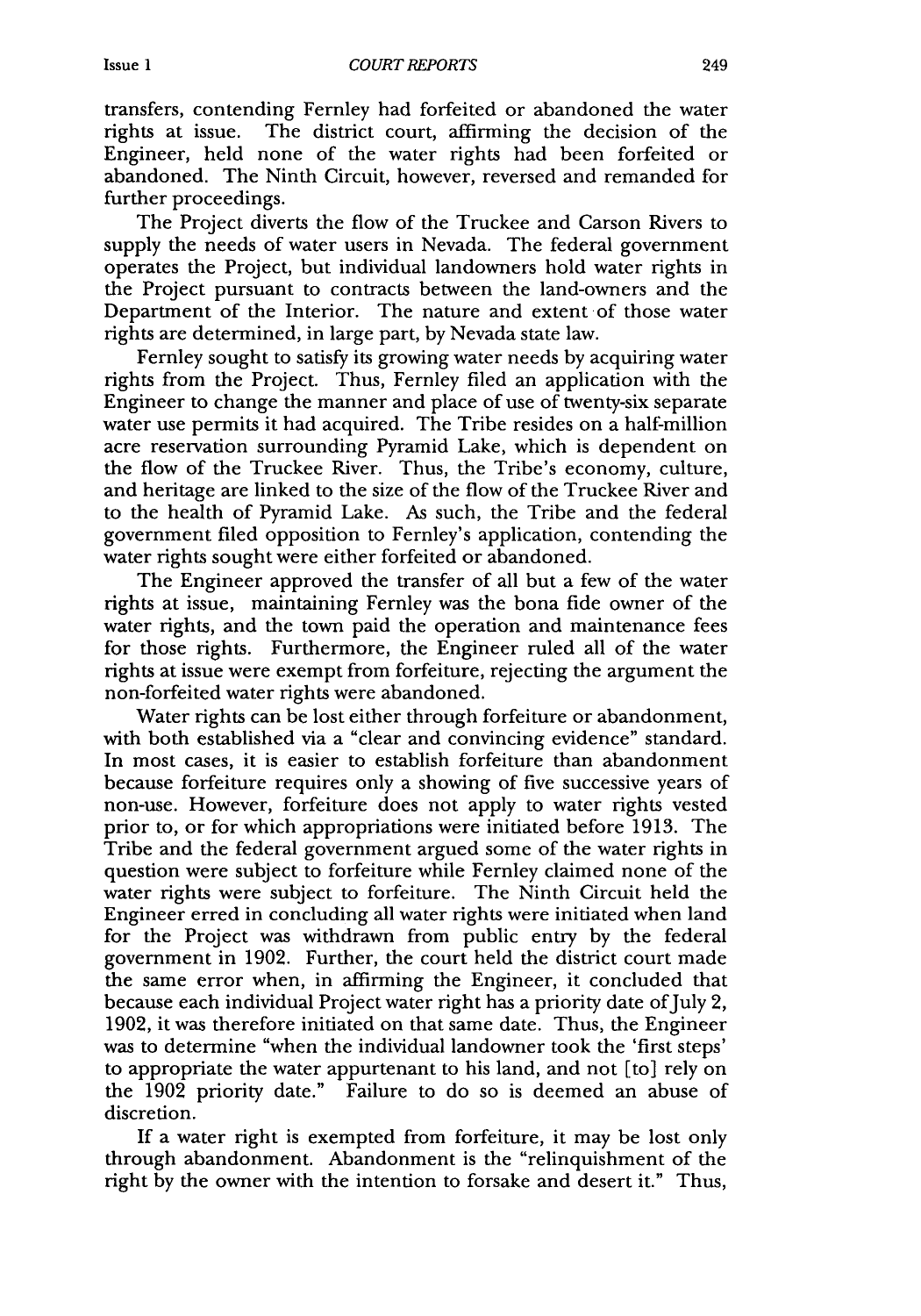transfers, contending Fernley had forfeited or abandoned the water rights at issue. The district court, affirming the decision of the Engineer, held none of the water rights had been forfeited or abandoned. The Ninth Circuit, however, reversed and remanded for further proceedings.

The Project diverts the flow of the Truckee and Carson Rivers to supply the needs of water users in Nevada. The federal government operates the Project, but individual landowners hold water rights in the Project pursuant to contracts between the land-owners and the Department of the Interior. The nature and extent of those water rights are determined, in large part, by Nevada state law.

Fernley sought to satisfy its growing water needs by acquiring water rights from the Project. Thus, Fernley filed an application with the Engineer to change the manner and place of use of twenty-six separate water use permits it had acquired. The Tribe resides on a half-million acre reservation surrounding Pyramid Lake, which is dependent on the flow of the Truckee River. Thus, the Tribe's economy, culture, and heritage are linked to the size of the flow of the Truckee River and to the health of Pyramid Lake. As such, the Tribe and the federal government filed opposition to Fernley's application, contending the water rights sought were either forfeited or abandoned.

The Engineer approved the transfer of all but a few of the water rights at issue, maintaining Fernley was the bona fide owner of the water rights, and the town paid the operation and maintenance fees for those rights. Furthermore, the Engineer ruled all of the water rights at issue were exempt from forfeiture, rejecting the argument the non-forfeited water rights were abandoned.

Water rights can be lost either through forfeiture or abandonment, with both established via a "clear and convincing evidence" standard. In most cases, it is easier to establish forfeiture than abandonment because forfeiture requires only a showing of five successive years of non-use. However, forfeiture does not apply to water rights vested prior to, or for which appropriations were initiated before 1913. The Tribe and the federal government argued some of the water rights in question were subject to forfeiture while Fernley claimed none of the water rights were subject to forfeiture. The Ninth Circuit held the Engineer erred in concluding all water rights were initiated when land for the Project was withdrawn from public entry by the federal government in 1902. Further, the court held the district court made the same error when, in affirming the Engineer, it concluded that because each individual Project water right has a priority date of July 2, 1902, it was therefore initiated on that same date. Thus, the Engineer was to determine "when the individual landowner took the 'first steps' to appropriate the water appurtenant to his land, and not [to] rely on the 1902 priority date." Failure to do so is deemed an abuse of discretion.

If a water right is exempted from forfeiture, it may be lost only through abandonment. Abandonment is the "relinquishment of the right by the owner with the intention to forsake and desert it." Thus,